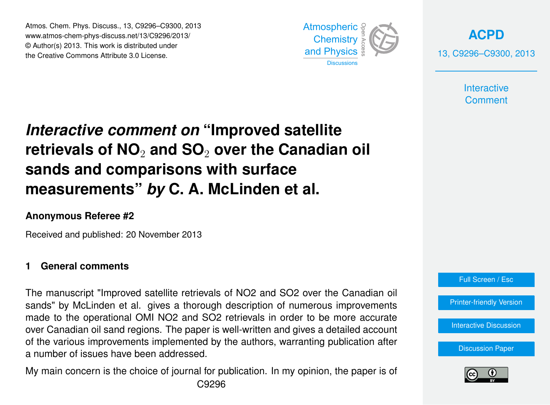Atmos. Chem. Phys. Discuss., 13, C9296–C9300, 2013 Atmospheric www.atmos-chem-phys-discuss.net/13/C9296/2013/<br>@ Author(a) 2012, This work is distributed under © Author(s) 2013. This work is distributed under the Creative Commons Attribute 3.0 License.



**[ACPD](http://www.atmos-chem-phys-discuss.net)** 13, C9296–C9300, 2013

> **Interactive Comment**

#### Interactive comment on "Improved satellite ،<br>),  $\mathbf{j}$ retrievals of NO<sub>2</sub> and SO<sub>2</sub> over the Canadian oil  $\sim$ measurements" *by* C. A. McLinden et al. Open Access **sands and comparisons with surface**

## **Anonymous Referee #2**

Received and published: 20 November 2013  $\overline{a}$ 

### **1 General comments**

The manuscript "Improved satellite retrievals of NO2 and SO2 over the Canadian oil sands" by McLinden et al. gives a thorough description of numerous improvements  $\frac{1}{2}$ a<br>.. made to the operational OMI NO2 and SO2 retrievals in order to be more accurate over Canadian oil sand regions. The paper is well-written and gives a detailed account of the various improvements implemented by the authors, warranting publication after d<br>G<br>G ة<br>tio a number of issues have been addressed.

My main concern is the choice of journal for publication. In my opinion, the paper is of Earth System i<br>C  $\ddot{\mathbf{r}}$ C9296

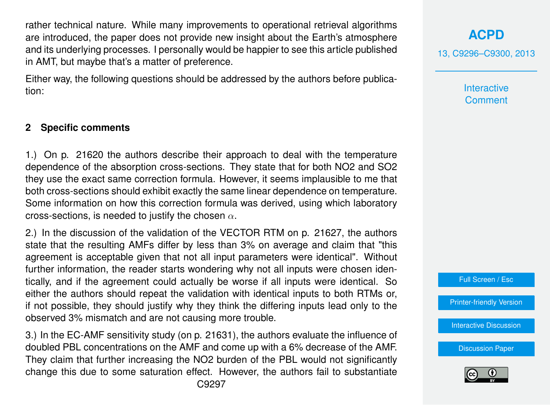rather technical nature. While many improvements to operational retrieval algorithms are introduced, the paper does not provide new insight about the Earth's atmosphere and its underlying processes. I personally would be happier to see this article published in AMT, but maybe that's a matter of preference.

Either way, the following questions should be addressed by the authors before publication:

#### **2 Specific comments**

1.) On p. 21620 the authors describe their approach to deal with the temperature dependence of the absorption cross-sections. They state that for both NO2 and SO2 they use the exact same correction formula. However, it seems implausible to me that both cross-sections should exhibit exactly the same linear dependence on temperature. Some information on how this correction formula was derived, using which laboratory cross-sections, is needed to justify the chosen  $\alpha$ .

2.) In the discussion of the validation of the VECTOR RTM on p. 21627, the authors state that the resulting AMFs differ by less than 3% on average and claim that "this agreement is acceptable given that not all input parameters were identical". Without further information, the reader starts wondering why not all inputs were chosen identically, and if the agreement could actually be worse if all inputs were identical. So either the authors should repeat the validation with identical inputs to both RTMs or, if not possible, they should justify why they think the differing inputs lead only to the observed 3% mismatch and are not causing more trouble.

3.) In the EC-AMF sensitivity study (on p. 21631), the authors evaluate the influence of doubled PBL concentrations on the AMF and come up with a 6% decrease of the AMF. They claim that further increasing the NO2 burden of the PBL would not significantly change this due to some saturation effect. However, the authors fail to substantiate

# **[ACPD](http://www.atmos-chem-phys-discuss.net)**

13, C9296–C9300, 2013

**Interactive Comment** 



[Printer-friendly Version](http://www.atmos-chem-phys-discuss.net/13/C9296/2013/acpd-13-C9296-2013-print.pdf)

[Interactive Discussion](http://www.atmos-chem-phys-discuss.net/13/21609/2013/acpd-13-21609-2013-discussion.html)

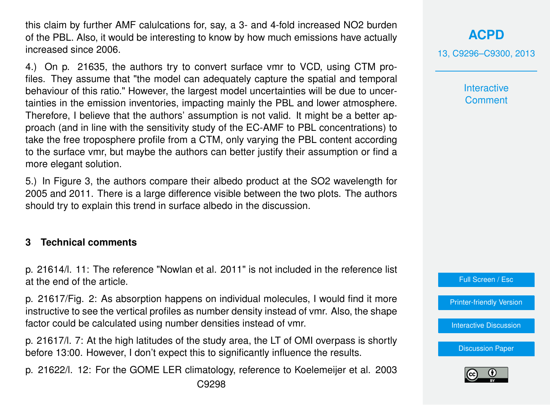this claim by further AMF calulcations for, say, a 3- and 4-fold increased NO2 burden of the PBL. Also, it would be interesting to know by how much emissions have actually increased since 2006.

4.) On p. 21635, the authors try to convert surface vmr to VCD, using CTM profiles. They assume that "the model can adequately capture the spatial and temporal behaviour of this ratio." However, the largest model uncertainties will be due to uncertainties in the emission inventories, impacting mainly the PBL and lower atmosphere. Therefore, I believe that the authors' assumption is not valid. It might be a better approach (and in line with the sensitivity study of the EC-AMF to PBL concentrations) to take the free troposphere profile from a CTM, only varying the PBL content according to the surface vmr, but maybe the authors can better justify their assumption or find a more elegant solution.

5.) In Figure 3, the authors compare their albedo product at the SO2 wavelength for 2005 and 2011. There is a large difference visible between the two plots. The authors should try to explain this trend in surface albedo in the discussion.

## **3 Technical comments**

p. 21614/l. 11: The reference "Nowlan et al. 2011" is not included in the reference list at the end of the article.

p. 21617/Fig. 2: As absorption happens on individual molecules, I would find it more instructive to see the vertical profiles as number density instead of vmr. Also, the shape factor could be calculated using number densities instead of vmr.

p. 21617/l. 7: At the high latitudes of the study area, the LT of OMI overpass is shortly before 13:00. However, I don't expect this to significantly influence the results.

p. 21622/l. 12: For the GOME LER climatology, reference to Koelemeijer et al. 2003 C9298

**[ACPD](http://www.atmos-chem-phys-discuss.net)**

13, C9296–C9300, 2013

**Interactive Comment** 

Full Screen / Esc

[Printer-friendly Version](http://www.atmos-chem-phys-discuss.net/13/C9296/2013/acpd-13-C9296-2013-print.pdf)

**[Interactive Discussion](http://www.atmos-chem-phys-discuss.net/13/21609/2013/acpd-13-21609-2013-discussion.html)** 

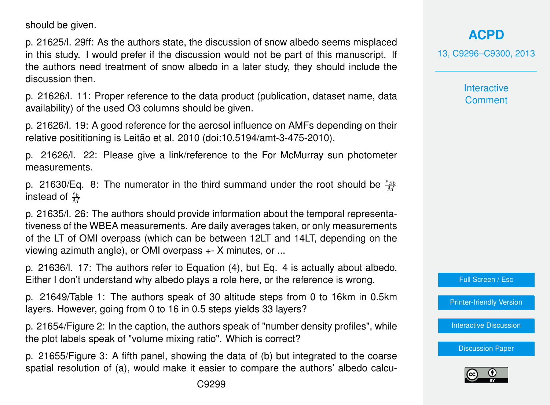should be given.

p. 21625/l. 29ff: As the authors state, the discussion of snow albedo seems misplaced in this study. I would prefer if the discussion would not be part of this manuscript. If the authors need treatment of snow albedo in a later study, they should include the discussion then.

p. 21626/l. 11: Proper reference to the data product (publication, dataset name, data availability) of the used O3 columns should be given.

p. 21626/l. 19: A good reference for the aerosol influence on AMFs depending on their relative posititioning is Leitão et al. 2010 (doi:10.5194/amt-3-475-2010).

p. 21626/l. 22: Please give a link/reference to the For McMurray sun photometer measurements.

p. 21630/Eq. 8: The numerator in the third summand under the root should be  $\frac{\epsilon_{SB}}{M}$ instead of  $\frac{\epsilon_b}{M}$ 

p. 21635/l. 26: The authors should provide information about the temporal representativeness of the WBEA measurements. Are daily averages taken, or only measurements of the LT of OMI overpass (which can be between 12LT and 14LT, depending on the viewing azimuth angle), or OMI overpass +- X minutes, or ...

p. 21636/l. 17: The authors refer to Equation (4), but Eq. 4 is actually about albedo. Either I don't understand why albedo plays a role here, or the reference is wrong.

p. 21649/Table 1: The authors speak of 30 altitude steps from 0 to 16km in 0.5km layers. However, going from 0 to 16 in 0.5 steps yields 33 layers?

p. 21654/Figure 2: In the caption, the authors speak of "number density profiles", while the plot labels speak of "volume mixing ratio". Which is correct?

p. 21655/Figure 3: A fifth panel, showing the data of (b) but integrated to the coarse spatial resolution of (a), would make it easier to compare the authors' albedo calcu**[ACPD](http://www.atmos-chem-phys-discuss.net)**

13, C9296–C9300, 2013

**Interactive Comment** 



[Printer-friendly Version](http://www.atmos-chem-phys-discuss.net/13/C9296/2013/acpd-13-C9296-2013-print.pdf)

[Interactive Discussion](http://www.atmos-chem-phys-discuss.net/13/21609/2013/acpd-13-21609-2013-discussion.html)